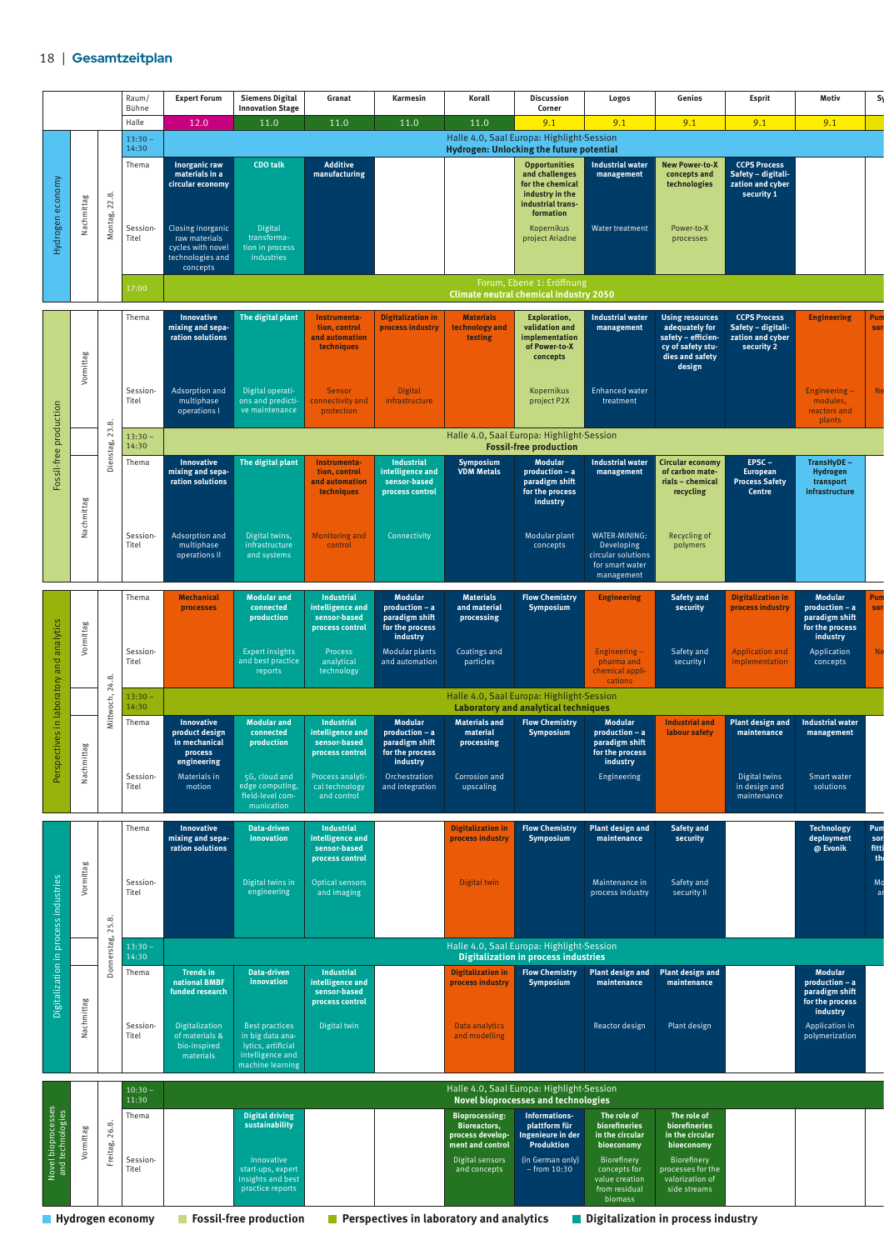## 18 | **Gesamtzeitplan**

|                                        |                                            | Raum/<br>Bühne                       | <b>Expert Forum</b>                                                                     | <b>Siemens Digital</b><br><b>Innovation Stage</b>                              | Granat                                                            | Karmesin                                                               | Korall                                                           | <b>Discussion</b><br>Corner                                                                                                                                                                        | Logos                                                                              | Genios                                                                                 | <b>Esprit</b>                                                                      | Motiv                                                           |                           |
|----------------------------------------|--------------------------------------------|--------------------------------------|-----------------------------------------------------------------------------------------|--------------------------------------------------------------------------------|-------------------------------------------------------------------|------------------------------------------------------------------------|------------------------------------------------------------------|----------------------------------------------------------------------------------------------------------------------------------------------------------------------------------------------------|------------------------------------------------------------------------------------|----------------------------------------------------------------------------------------|------------------------------------------------------------------------------------|-----------------------------------------------------------------|---------------------------|
| $\geq$<br>econ                         | Nachmittag<br>22.<br>စ္တ<br>ื≥             | Halle<br>$13:30 -$<br>14:30<br>Thema | 12.0<br><b>Inorganic raw</b><br>materials in a<br>circular economy                      | 11.0<br><b>CDO</b> talk                                                        | 11.0<br>Additive<br>manufacturing                                 | 11.0                                                                   | 11.0                                                             | 9.1<br>Halle 4.0, Saal Europa: Highlight-Session<br>Hydrogen: Unlocking the future potential<br><b>Opportunities</b><br>and challenges<br>for the chemical<br>industry in the<br>industrial trans- | 9.1<br><b>Industrial water</b><br>management                                       | 9.1<br><b>New Power-to-X</b><br>concepts and<br>technologies                           | 9.1<br><b>CCPS Process</b><br>Safety – digitali-<br>zation and cyber<br>security 1 | 9.1                                                             |                           |
| oge<br>$\frac{1}{2}$                   |                                            | Session<br>Titel<br>$7:00^{-7}$      | Closing inorganic<br>raw materials<br>cycles with novel<br>technologies and<br>concepts | Digital<br>transforma-<br>ion in process<br>industries                         |                                                                   |                                                                        |                                                                  | formation<br>Kopernikus<br>project Ariadne<br>Forum, Ebene 1: Eröffnung                                                                                                                            | Water treatment                                                                    | Power-to-X<br>processes                                                                |                                                                                    |                                                                 |                           |
|                                        |                                            | Thema                                | Innovative                                                                              | The digital plant                                                              | Instrumenta-                                                      | <b>Digitalization in</b>                                               | <b>Materials</b>                                                 | <b>Climate neutral chemical industry 2050</b><br>Exploration,                                                                                                                                      | <b>Industrial water</b>                                                            | <b>Using resources</b>                                                                 | <b>CCPS Process</b>                                                                | <b>Engineering</b>                                              |                           |
|                                        | Vomittag<br>23.<br>ရွက်<br>ä<br>Nachmittag |                                      | mixing and sepa-<br>ration solutions                                                    |                                                                                | tion, control<br>and automation<br>techniques                     | process industry                                                       | technology and<br>testing                                        | validation and<br>implementation<br>of Power-to-X<br>concepts                                                                                                                                      | management                                                                         | adequately for<br>safety - efficien-<br>cy of safety stu-<br>dies and safety<br>design | Safety - digitali-<br>zation and cyber<br>security 2                               |                                                                 |                           |
|                                        |                                            | Session<br>Titel                     | <b>Adsorption</b> and<br>multiphase<br>operations I                                     | Digital operati-<br>ons and predicti-<br>ve maintenance                        | Sensor<br>onnectivity an<br>protection                            | <b>Digital</b><br>infrastructure                                       |                                                                  | Kopernikus<br>project P2X                                                                                                                                                                          | nhanced water.<br>treatment                                                        |                                                                                        |                                                                                    | <b>Engineering</b><br>modules,<br>reactors and<br>plants        |                           |
|                                        |                                            | $13:30 -$<br>14:30                   |                                                                                         |                                                                                |                                                                   |                                                                        |                                                                  | Halle 4.0, Saal Europa: Highlight-Session<br><b>Fossil-free production</b>                                                                                                                         |                                                                                    |                                                                                        |                                                                                    |                                                                 |                           |
| Fossil-free production                 |                                            | Thema                                | Innovative<br>mixing and sepa<br>ration solutions                                       | The digital plant                                                              | Instrumenta<br>tion, control<br>and automation<br>techniques      | Industrial<br>intelligence and<br>sensor-based<br>process control      | Symposium<br><b>VDM</b> Metals                                   | <b>Modular</b><br>$production - a$<br>paradigm shift<br>for the process<br>industry                                                                                                                | <b>Industrial water</b><br>management                                              | <b>Circular economy</b><br>of carbon mate-<br>rials - chemical<br>recycling            | $EPSC -$<br>European<br><b>Process Safety</b><br>Centre                            | TransHyDE-<br>Hydrogen<br>transport<br>infrastructure           |                           |
|                                        |                                            | Session<br>Titel                     | <b>Adsorption and</b><br>multiphase<br>operations II                                    | Digital twins,<br>infrastructure<br>and systems                                | <b>Monitoring and</b><br>control                                  | Connectivity                                                           |                                                                  | Modular plant<br>concepts                                                                                                                                                                          | WATER-MINING:<br>Developing<br>circular solutions<br>for smart water<br>management | Recycling of<br>polymers                                                               |                                                                                    |                                                                 |                           |
| ory and analytics                      |                                            | Thema                                | <b>Mechanical</b><br><b>processes</b>                                                   | <b>Modular and</b><br>connected                                                | Industrial<br>intelligence and                                    | <b>Modular</b><br>$production - a$                                     | <b>Materials</b><br>and material                                 | <b>Flow Chemistry</b><br>Symposium                                                                                                                                                                 | <b>Engineering</b>                                                                 | Safety and<br>security                                                                 | <b>Digitalization in</b><br><b>process industry</b>                                | Modular<br>production - a                                       |                           |
|                                        | Vomittag                                   | Session-                             |                                                                                         | production<br><b>Expert insights</b>                                           | sensor-based<br>process control<br>Process                        | paradigm shift<br>for the process<br>industry<br><b>Modular plants</b> | processing<br>Coatings and                                       |                                                                                                                                                                                                    | <b>Engineering -</b>                                                               | Safety and                                                                             | <b>Application and</b>                                                             | paradigm shift<br>for the process<br>industry<br>Application    |                           |
|                                        | ∞                                          | Titel                                |                                                                                         | and best practice<br>reports                                                   | analytical<br>technology                                          | and automation                                                         | particles                                                        |                                                                                                                                                                                                    | pharma and<br>chemical appli-<br>cations                                           | security I                                                                             | implementation                                                                     | concepts                                                        |                           |
|                                        |                                            | $13:30 -$<br>£<br>14:30              |                                                                                         |                                                                                |                                                                   |                                                                        |                                                                  | Halle 4.0, Saal Europa: Highlight-Session<br>Laboratory and analytical techniques                                                                                                                  |                                                                                    |                                                                                        |                                                                                    |                                                                 |                           |
|                                        | ₹<br>ஹ்                                    | Thema                                | <b>Innovative</b><br>product design<br>in mechanical<br>engineering                     | <b>Modular and</b><br>connected<br>production                                  | Industrial<br>intelligence and<br>sensor-based                    | Modular<br>$production - a$<br>paradigm shift<br>industry              | <b>Materials and</b><br>material<br>processing                   | <b>Flow Chemistry</b><br>Symposium                                                                                                                                                                 | Modular<br>$production - a$<br>paradigm shift<br>industry                          | <b>Industrial and</b><br>labour safety                                                 | Plant design and Industrial water<br>maintenance                                   | management                                                      |                           |
| Persp                                  | Nachmitt                                   | Session-<br>Titel                    | Materials in<br>motion                                                                  | 5G, cloud and<br>edge computing,<br>field-level com-<br>munication             | Process analyti-<br>cal technology<br>and control                 | Orchestration<br>and integration                                       | Corrosion and<br>upscaling                                       |                                                                                                                                                                                                    | Engineering                                                                        |                                                                                        | Digital twins<br>in design and<br>maintenance                                      | Smart water<br>solutions                                        |                           |
|                                        |                                            | Thema                                | Innovative<br>mixing and sepa-<br>ration solutions                                      | Data-driven<br>innovation                                                      | Industrial<br>intelligence and<br>sensor-based<br>process control |                                                                        | <b>Digitalization in</b><br>process industry                     | <b>Flow Chemistry</b><br>Symposium                                                                                                                                                                 | Plant design and<br>maintenance                                                    | Safety and<br>security                                                                 |                                                                                    | Technology<br>deployment<br>@ Evonik                            | Pum<br>sor<br>fitti<br>th |
|                                        | Vormittag                                  | Session<br>Titel                     |                                                                                         | Digital twins in<br>engineering                                                | <b>Optical sensors</b><br>and imaging                             |                                                                        | Digital twin                                                     |                                                                                                                                                                                                    | Maintenance in<br>process industry                                                 | Safety and<br>security II                                                              |                                                                                    |                                                                 | Mc                        |
|                                        |                                            | $3:30 -$                             |                                                                                         |                                                                                |                                                                   |                                                                        |                                                                  | Halle 4.0, Saal Europa: Highlight-Session                                                                                                                                                          |                                                                                    |                                                                                        |                                                                                    |                                                                 |                           |
| Digitalization in process industries   |                                            | 14:30<br>Thema                       | <b>Trends in</b><br>national BMBF                                                       | <b>Data-driven</b><br>innovation                                               | Industrial<br>intelligence and                                    |                                                                        | <b>Digitalization in</b><br>process industry                     | <b>Digitalization in process industries</b><br>Flow Chemistry Plant design and Plant design and<br>Symposium                                                                                       | maintenance                                                                        | maintenance                                                                            |                                                                                    | Modular<br>production - a                                       |                           |
|                                        | Nachmittag                                 | Session                              | funded research<br>Digitalization                                                       | <b>Best practices</b>                                                          | sensor-based<br>process control<br>Digital twin                   |                                                                        | <b>Data analytics</b>                                            |                                                                                                                                                                                                    | Reactor design Plant design                                                        |                                                                                        |                                                                                    | paradigm shift<br>for the process<br>industry<br>Application in |                           |
|                                        |                                            | Titel                                | of materials &<br>bio-inspired<br>materials                                             | in big data ana-<br>lytics, artificial<br>intelligence and<br>machine learning |                                                                   |                                                                        | and modelling                                                    |                                                                                                                                                                                                    |                                                                                    |                                                                                        |                                                                                    | polymerization                                                  |                           |
|                                        |                                            | $10:30 -$<br>11:30                   | Halle 4.0, Saal Europa: Highlight-Session<br>Novel bioprocesses and technologies        |                                                                                |                                                                   |                                                                        |                                                                  |                                                                                                                                                                                                    |                                                                                    |                                                                                        |                                                                                    |                                                                 |                           |
|                                        | $\frac{26}{5}$                             | Thema                                |                                                                                         | <b>Digital driving</b><br>sustainability                                       |                                                                   |                                                                        | <b>Bioprocessing:</b><br><b>Bioreactors,</b><br>process develop- | Informations-<br>plattform für<br>Ingenieure in der                                                                                                                                                | The role of<br>biorefineries<br>in the circular                                    | The role of<br>biorefineries<br>in the circular                                        |                                                                                    |                                                                 |                           |
| Novel bioprocesses<br>and technologies | Vormittag<br>Freit                         | b.<br>Session-<br>Titel              |                                                                                         | Innovative<br>start-ups, exper<br>insights and best<br>practice reports        |                                                                   |                                                                        | ment and control<br>Digital sensors<br>and concepts              | Produktion<br>(in German only)<br>$-$ from 10:30                                                                                                                                                   | bioeconomy<br>Biorefinery<br>concepts for<br>value creation<br>from residual       | bioeconomy<br>Biorefinery<br>processes for th<br>valorization of<br>side streams       |                                                                                    |                                                                 |                           |
|                                        |                                            | Hydrogen economy                     |                                                                                         | Fossil-free production                                                         |                                                                   |                                                                        | Perspectives in laboratory and analytics                         |                                                                                                                                                                                                    | biomass                                                                            | Digitalization in process industry                                                     |                                                                                    |                                                                 |                           |